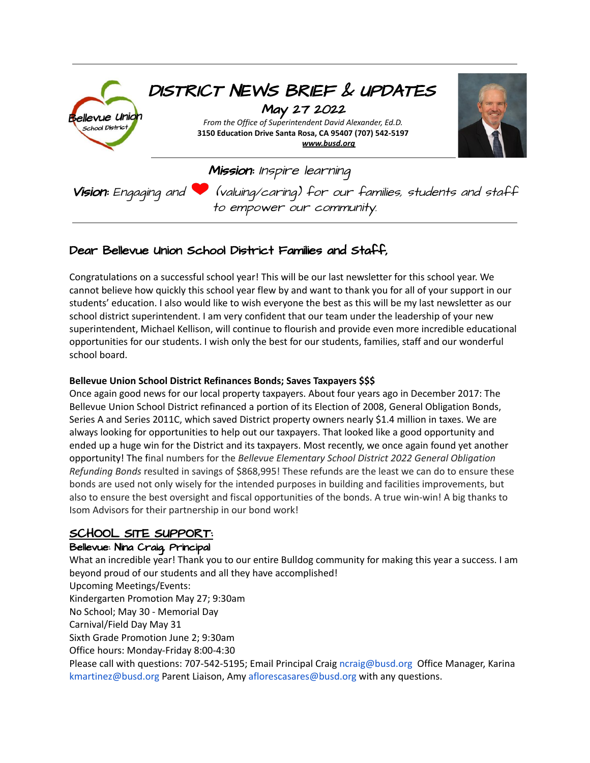

### Dear Bellevue Union School District Families and Staff,

Congratulations on a successful school year! This will be our last newsletter for this school year. We cannot believe how quickly this school year flew by and want to thank you for all of your support in our students' education. I also would like to wish everyone the best as this will be my last newsletter as our school district superintendent. I am very confident that our team under the leadership of your new superintendent, Michael Kellison, will continue to flourish and provide even more incredible educational opportunities for our students. I wish only the best for our students, families, staff and our wonderful school board.

#### **Bellevue Union School District Refinances Bonds; Saves Taxpayers \$\$\$**

Once again good news for our local property taxpayers. About four years ago in December 2017: The Bellevue Union School District refinanced a portion of its Election of 2008, General Obligation Bonds, Series A and Series 2011C, which saved District property owners nearly \$1.4 million in taxes. We are always looking for opportunities to help out our taxpayers. That looked like a good opportunity and ended up a huge win for the District and its taxpayers. Most recently, we once again found yet another opportunity! The final numbers for the *Bellevue Elementary School District 2022 General Obligation Refunding Bonds* resulted in savings of \$868,995! These refunds are the least we can do to ensure these bonds are used not only wisely for the intended purposes in building and facilities improvements, but also to ensure the best oversight and fiscal opportunities of the bonds. A true win-win! A big thanks to Isom Advisors for their partnership in our bond work!

#### SCHOOL SITE SUPPORT:

#### Bellevue: Nina Craig, Principal

What an incredible year! Thank you to our entire Bulldog community for making this year a success. I am beyond proud of our students and all they have accomplished! Upcoming Meetings/Events: Kindergarten Promotion May 27; 9:30am No School; May 30 - Memorial Day Carnival/Field Day May 31 Sixth Grade Promotion June 2; 9:30am Office hours: Monday-Friday 8:00-4:30 Please call with questions: 707-542-5195; Email Principal Craig ncraig@busd.org Office Manager, Karina kmartinez@busd.org Parent Liaison, Amy aflorescasares@busd.org with any questions.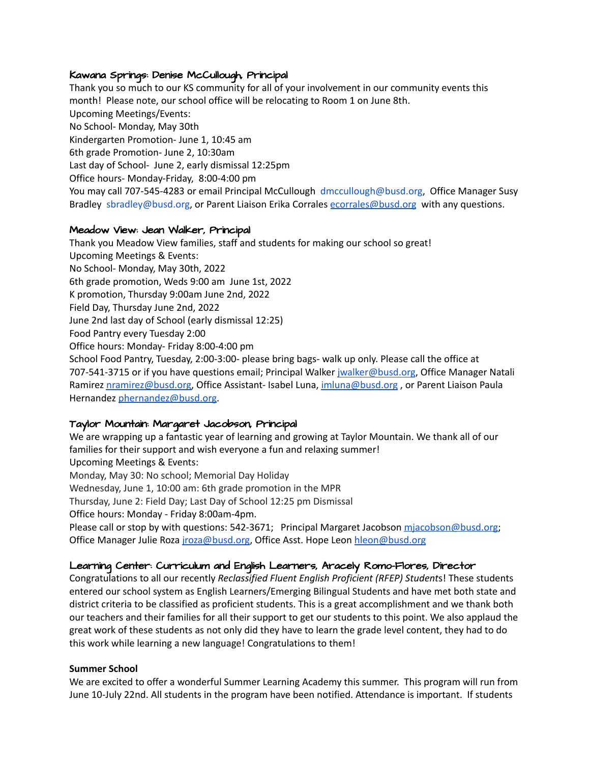#### Kawana Springs: Denise McCullough, Principal

Thank you so much to our KS community for all of your involvement in our community events this month! Please note, our school office will be relocating to Room 1 on June 8th. Upcoming Meetings/Events: No School- Monday, May 30th Kindergarten Promotion- June 1, 10:45 am 6th grade Promotion- June 2, 10:30am Last day of School- June 2, early dismissal 12:25pm Office hours- Monday-Friday, 8:00-4:00 pm You may call 707-545-4283 or email Principal McCullough dmccullough@busd.org, Office Manager Susy Bradley sbradley@busd.org, or Parent Liaison Erika Corrales [ecorrales@busd.org](mailto:ecorrales@busd.org) with any questions.

#### Meadow View: Jean Walker, Principal

Thank you Meadow View families, staff and students for making our school so great! Upcoming Meetings & Events: No School- Monday, May 30th, 2022 6th grade promotion, Weds 9:00 am June 1st, 2022 K promotion, Thursday 9:00am June 2nd, 2022 Field Day, Thursday June 2nd, 2022 June 2nd last day of School (early dismissal 12:25) Food Pantry every Tuesday 2:00 Office hours: Monday- Friday 8:00-4:00 pm School Food Pantry, Tuesday, 2:00-3:00- please bring bags- walk up only. Please call the office at 707-541-3715 or if you have questions email; Principal Walker [jwalker@busd.org](mailto:jwalker@busd.org), Office Manager Natali Ramirez [nramirez@busd.org,](mailto:nramirez@busd.org) Office Assistant- Isabel Luna, [imluna@busd.org](mailto:imluna@busd.org), or Parent Liaison Paula Hernandez phernandez@busd.org

#### Taylor Mountain: Margaret Jacobson, Principal

We are wrapping up a fantastic year of learning and growing at Taylor Mountain. We thank all of our families for their support and wish everyone a fun and relaxing summer! Upcoming Meetings & Events: Monday, May 30: No school; Memorial Day Holiday Wednesday, June 1, 10:00 am: 6th grade promotion in the MPR

Thursday, June 2: Field Day; Last Day of School 12:25 pm Dismissal

Office hours: Monday - Friday 8:00am-4pm.

Please call or stop by with questions: 542-3671; Principal Margaret Jacobson miacobson@busd.org; Office Manager Julie Roza *[jroza@busd.org](mailto:jroza@busd.org)*, Office Asst. Hope Leon [hleon@busd.org](mailto:hleon@busd.org)

#### Learning Center: Curriculum and English Learners, Aracely Romo-Flores, Director

Congratulations to all our recently *Reclassified Fluent English Proficient (RFEP) Student*s! These students entered our school system as English Learners/Emerging Bilingual Students and have met both state and district criteria to be classified as proficient students. This is a great accomplishment and we thank both our teachers and their families for all their support to get our students to this point. We also applaud the great work of these students as not only did they have to learn the grade level content, they had to do this work while learning a new language! Congratulations to them!

#### **Summer School**

We are excited to offer a wonderful Summer Learning Academy this summer. This program will run from June 10-July 22nd. All students in the program have been notified. Attendance is important. If students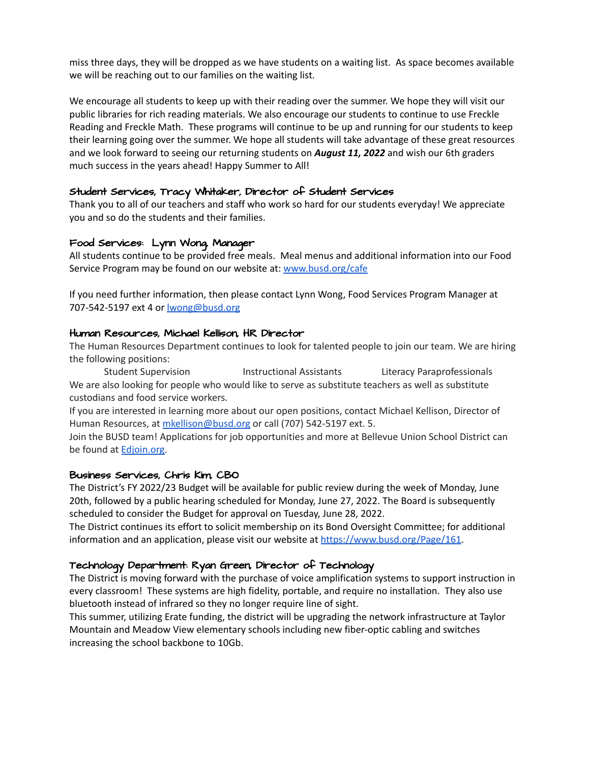miss three days, they will be dropped as we have students on a waiting list. As space becomes available we will be reaching out to our families on the waiting list.

We encourage all students to keep up with their reading over the summer. We hope they will visit our public libraries for rich reading materials. We also encourage our students to continue to use Freckle Reading and Freckle Math. These programs will continue to be up and running for our students to keep their learning going over the summer. We hope all students will take advantage of these great resources and we look forward to seeing our returning students on *August 11, 2022* and wish our 6th graders much success in the years ahead! Happy Summer to All!

#### Student Services, Tracy Whitaker, Director of Student Services

Thank you to all of our teachers and staff who work so hard for our students everyday! We appreciate you and so do the students and their families.

#### Food Services: Lynn Wong, Manager

All students continue to be provided free meals. Meal menus and additional information into our Food Service Program may be found on our website at: [www.busd.org/cafe](http://www.busd.org/cafe)

If you need further information, then please contact Lynn Wong, Food Services Program Manager at 707-542-5197 ext 4 or [lwong@busd.org](mailto:lwong@busd.org)

#### Human Resources, Michael Kellison, HR Director

The Human Resources Department continues to look for talented people to join our team. We are hiring the following positions:

Student Supervision **Instructional Assistants** Literacy Paraprofessionals We are also looking for people who would like to serve as substitute teachers as well as substitute custodians and food service workers.

If you are interested in learning more about our open positions, contact Michael Kellison, Director of Human Resources, at [mkellison@busd.org](mailto:mkellison@busd.org) or call (707) 542-5197 ext. 5.

Join the BUSD team! Applications for job opportunities and more at Bellevue Union School District can be found at [Edjoin.org.](https://www.edjoin.org/Home/Jobs?keywords=Bellevue&searchType=all)

#### Business Services, Chris Kim, CBO

The District's FY 2022/23 Budget will be available for public review during the week of Monday, June 20th, followed by a public hearing scheduled for Monday, June 27, 2022. The Board is subsequently scheduled to consider the Budget for approval on Tuesday, June 28, 2022.

The District continues its effort to solicit membership on its Bond Oversight Committee; for additional information and an application, please visit our website at [https://www.busd.org/Page/161.](https://www.busd.org/Page/161)

#### Technology Department: Ryan Green, Director of Technology

The District is moving forward with the purchase of voice amplification systems to support instruction in every classroom! These systems are high fidelity, portable, and require no installation. They also use bluetooth instead of infrared so they no longer require line of sight.

This summer, utilizing Erate funding, the district will be upgrading the network infrastructure at Taylor Mountain and Meadow View elementary schools including new fiber-optic cabling and switches increasing the school backbone to 10Gb.